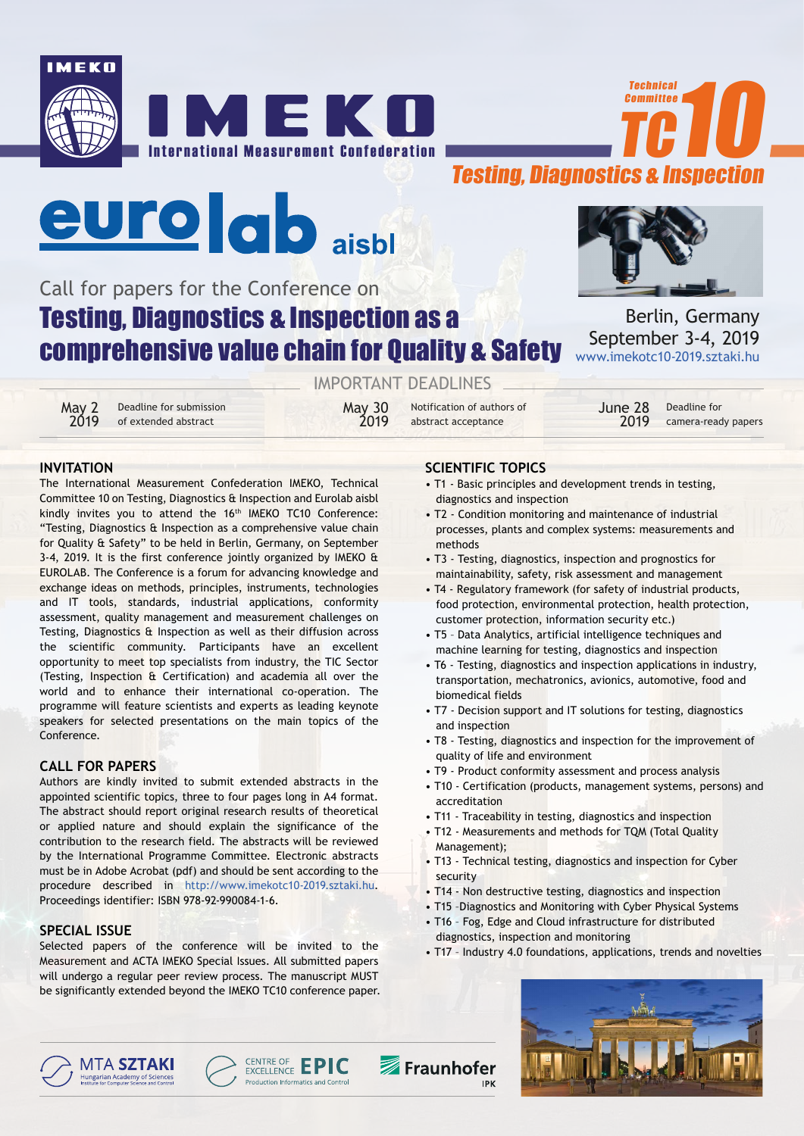







# Call for papers for the Conference on Testing, Diagnostics & Inspection as a comprehensive value chain for Quality & Safety

May 2 Deadline for submission<br>2019 of extended abstract

of extended abstract

IMPORTANT DEADLINES

May 30 Notification of authors of<br>2019 abstract acceptance 2019 of extended abstract **2019** abstract acceptance **2019** 



Berlin, Germany September 3-4, 2019 www.imekotc10-2019.sztaki.hu

> June 28 Deadline for<br>2019 camera-read camera-ready papers

# **INVITATION**

The International Measurement Confederation IMEKO, Technical Committee 10 on Testing, Diagnostics & Inspection and Eurolab aisbl kindly invites you to attend the 16<sup>th</sup> IMEKO TC10 Conference: "Testing, Diagnostics & Inspection as a comprehensive value chain for Quality & Safety" to be held in Berlin, Germany, on September 3-4, 2019. It is the first conference jointly organized by IMEKO & EUROLAB. The Conference is a forum for advancing knowledge and exchange ideas on methods, principles, instruments, technologies and IT tools, standards, industrial applications, conformity assessment, quality management and measurement challenges on Testing, Diagnostics & Inspection as well as their diffusion across the scientific community. Participants have an excellent opportunity to meet top specialists from industry, the TIC Sector (Testing, Inspection & Certification) and academia all over the world and to enhance their international co-operation. The programme will feature scientists and experts as leading keynote speakers for selected presentations on the main topics of the Conference.

# **CALL FOR PAPERS**

Authors are kindly invited to submit extended abstracts in the appointed scientific topics, three to four pages long in A4 format. The abstract should report original research results of theoretical or applied nature and should explain the significance of the contribution to the research field. The abstracts will be reviewed by the International Programme Committee. Electronic abstracts must be in Adobe Acrobat (pdf) and should be sent according to the procedure described in http://www.imekotc10-2019.sztaki.hu. Proceedings identifier: ISBN 978-92-990084-1-6.

# **SPECIAL ISSUE**

Selected papers of the conference will be invited to the Measurement and ACTA IMEKO Special Issues. All submitted papers will undergo a regular peer review process. The manuscript MUST be significantly extended beyond the IMEKO TC10 conference paper.

# **SCIENTIFIC TOPICS**

- T1 Basic principles and development trends in testing, diagnostics and inspection
- T2 Condition monitoring and maintenance of industrial processes, plants and complex systems: measurements and methods
- T3 Testing, diagnostics, inspection and prognostics for maintainability, safety, risk assessment and management
- T4 Regulatory framework (for safety of industrial products, food protection, environmental protection, health protection, customer protection, information security etc.)
- T5 Data Analytics, artificial intelligence techniques and machine learning for testing, diagnostics and inspection
- T6 Testing, diagnostics and inspection applications in industry, transportation, mechatronics, avionics, automotive, food and biomedical fields
- T7 Decision support and IT solutions for testing, diagnostics and inspection
- T8 Testing, diagnostics and inspection for the improvement of quality of life and environment
- T9 Product conformity assessment and process analysis
- T10 Certification (products, management systems, persons) and accreditation
- T11 Traceability in testing, diagnostics and inspection
- T12 Measurements and methods for TQM (Total Quality Management);
- T13 Technical testing, diagnostics and inspection for Cyber security
- T14 Non destructive testing, diagnostics and inspection
- T15 –Diagnostics and Monitoring with Cyber Physical Systems
- T16 Fog, Edge and Cloud infrastructure for distributed diagnostics, inspection and monitoring
- T17 Industry 4.0 foundations, applications, trends and novelties





Fraunhofer **IPK**